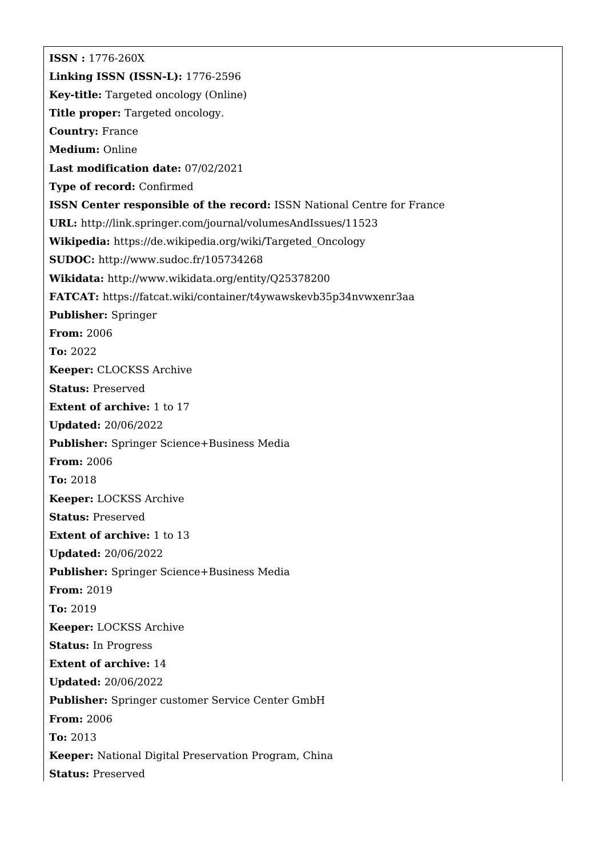**ISSN :** 1776-260X **Linking ISSN (ISSN-L):** 1776-2596 **Key-title:** Targeted oncology (Online) **Title proper:** Targeted oncology. **Country:** France **Medium:** Online **Last modification date:** 07/02/2021 **Type of record:** Confirmed **ISSN Center responsible of the record:** ISSN National Centre for France **URL:** <http://link.springer.com/journal/volumesAndIssues/11523> **Wikipedia:** [https://de.wikipedia.org/wiki/Targeted\\_Oncology](https://de.wikipedia.org/wiki/Targeted_Oncology) **SUDOC:** <http://www.sudoc.fr/105734268> **Wikidata:** <http://www.wikidata.org/entity/Q25378200> **FATCAT:** <https://fatcat.wiki/container/t4ywawskevb35p34nvwxenr3aa> **Publisher:** Springer **From:** 2006 **To:** 2022 **Keeper:** CLOCKSS Archive **Status:** Preserved **Extent of archive:** 1 to 17 **Updated:** 20/06/2022 **Publisher:** Springer Science+Business Media **From:** 2006 **To:** 2018 **Keeper:** LOCKSS Archive **Status:** Preserved **Extent of archive:** 1 to 13 **Updated:** 20/06/2022 **Publisher:** Springer Science+Business Media **From:** 2019 **To:** 2019 **Keeper:** LOCKSS Archive **Status:** In Progress **Extent of archive:** 14 **Updated:** 20/06/2022 **Publisher:** Springer customer Service Center GmbH **From:** 2006 **To:** 2013 **Keeper:** National Digital Preservation Program, China **Status:** Preserved